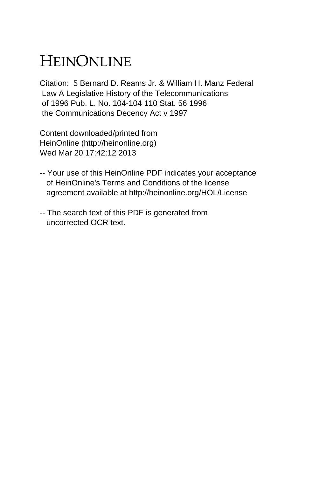## HEINONLINE

Citation: 5 Bernard D. Reams Jr. & William H. Manz Federal Law A Legislative History of the Telecommunications of 1996 Pub. L. No. 104-104 110 Stat. 56 1996 the Communications Decency Act v 1997

Content downloaded/printed from HeinOnline (http://heinonline.org) Wed Mar 20 17:42:12 2013

- -- Your use of this HeinOnline PDF indicates your acceptance of HeinOnline's Terms and Conditions of the license agreement available at http://heinonline.org/HOL/License
- -- The search text of this PDF is generated from uncorrected OCR text.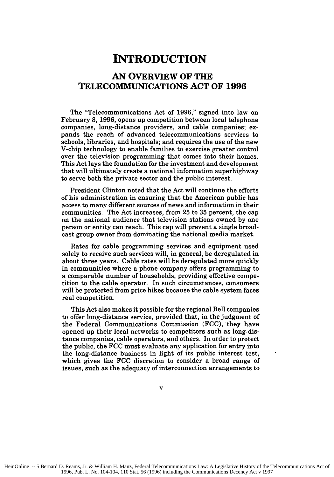## **INTRODUCTION**

## **AN OVERVIEW OF THE TELECOMMUNICATIONS ACT OF 1996**

The "Telecommunications Act of **1996,"** signed into law on February **8, 1996,** opens up competition between local telephone companies, long-distance providers, and cable companies; expands the reach of advanced telecommunications services to schools, libraries, and hospitals; and requires the use of the new V-chip technology to enable families to exercise greater control over the television programming that comes into their homes. This Act lays the foundation for the investment and development that will ultimately create a national information superhighway to serve both the private sector and the public interest.

President Clinton noted that the Act will continue the efforts of his administration in ensuring that the American public has access to many different sources of news and information in their communities. The Act increases, from 25 to 35 percent, the cap on the national audience that television stations owned by one person or entity can reach. This cap will prevent a single broadcast group owner from dominating the national media market.

Rates for cable programming services and equipment used solely to receive such services will, in general, be deregulated in about three years. Cable rates will be deregulated more quickly in communities where a phone company offers programming to a comparable number of households, providing effective competition to the cable operator. In such circumstances, consumers will be protected from price hikes because the cable system faces real competition.

This Act also makes it possible for the regional Bell companies to offer long-distance service, provided that, in the judgment of the Federal Communications Commission (FCC), they have opened up their local networks to competitors such as long-distance companies, cable operators, and others. In order to protect the public, the FCC must evaluate any application for entry into the long-distance business in light of its public interest test, which gives the FCC discretion to consider a broad range of issues, such as the adequacy of interconnection arrangements to